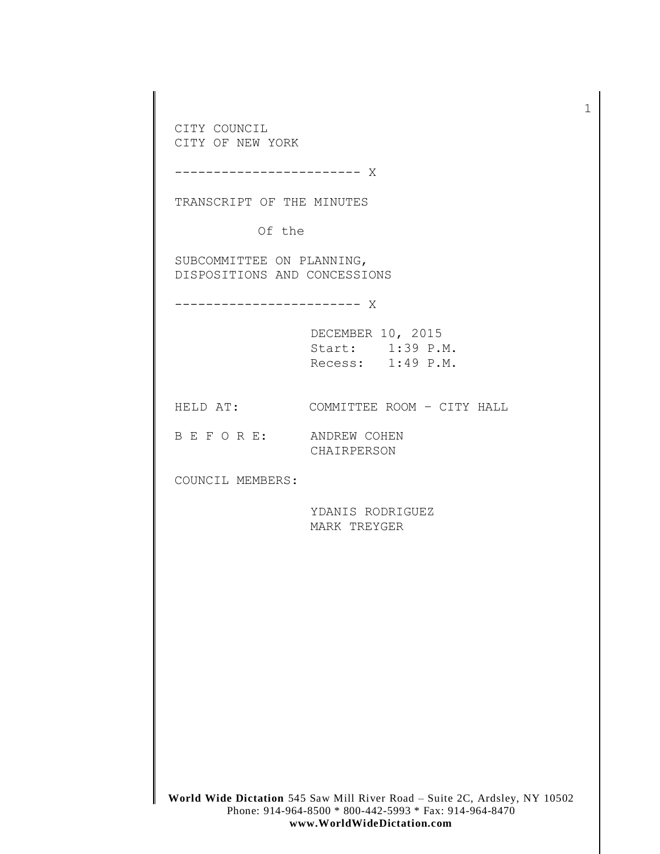**World Wide Dictation** 545 Saw Mill River Road – Suite 2C, Ardsley, NY 10502 CITY COUNCIL CITY OF NEW YORK ------------------------ X TRANSCRIPT OF THE MINUTES Of the SUBCOMMITTEE ON PLANNING, DISPOSITIONS AND CONCESSIONS ------------------------ X DECEMBER 10, 2015 Start: 1:39 P.M. Recess: 1:49 P.M. HELD AT: COMMITTEE ROOM - CITY HALL B E F O R E: ANDREW COHEN CHAIRPERSON COUNCIL MEMBERS: YDANIS RODRIGUEZ MARK TREYGER

1

Phone: 914-964-8500 \* 800-442-5993 \* Fax: 914-964-8470 **www.WorldWideDictation.com**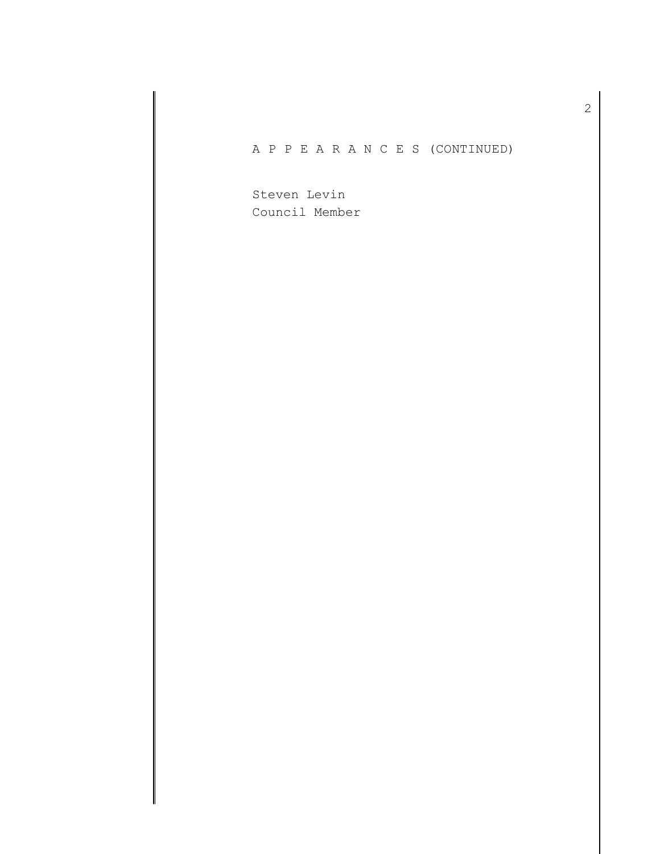## A P P E A R A N C E S (CONTINUED)

Steven Levin Council Member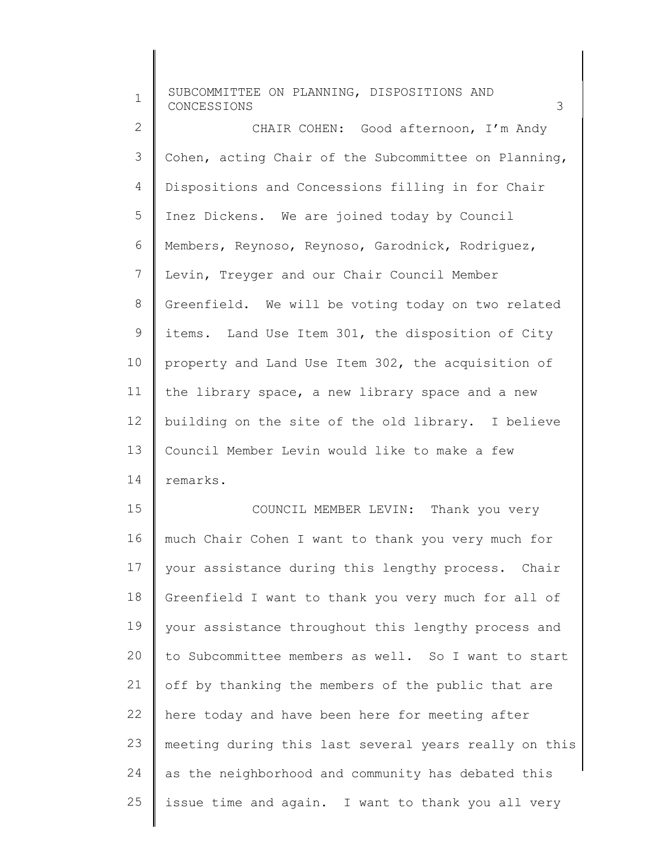1 2 3 4 5 6 7 8 9 10 11 12 13 14 15 16 17 18 19  $20$ 21 22 23 24 SUBCOMMITTEE ON PLANNING, DISPOSITIONS AND CONCESSIONS 3 Dispositions and Concessions filling in for Chair CHAIR COHEN: Good afternoon, I'm Andy Cohen, acting Chair of the Subcommittee on Planning, Inez Dickens. We are joined today by Council Members, Reynoso, Reynoso, Garodnick, Rodriguez, Levin, Treyger and our Chair Council Member Greenfield. We will be voting today on two related items. Land Use Item 301, the disposition of City property and Land Use Item 302, the acquisition of the library space, a new library space and a new building on the site of the old library. I believe Council Member Levin would like to make a few remarks. COUNCIL MEMBER LEVIN: Thank you very much Chair Cohen I want to thank you very much for your assistance during this lengthy process. Chair Greenfield I want to thank you very much for all of your assistance throughout this lengthy process and to Subcommittee members as well. So I want to start off by thanking the members of the public that are here today and have been here for meeting after meeting during this last several years really on this as the neighborhood and community has debated this

issue time and again. I want to thank you all very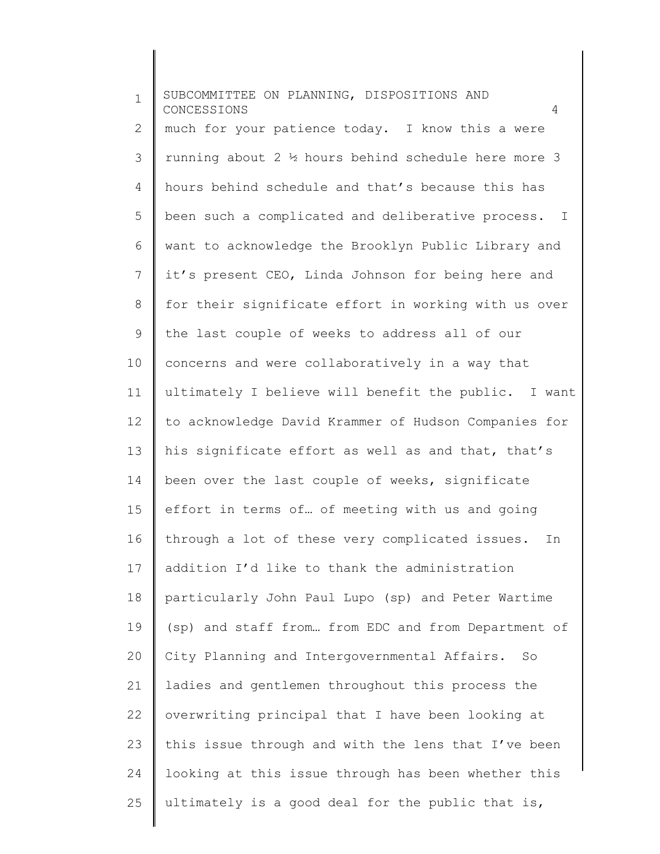| $\mathbf 1$ | SUBCOMMITTEE ON PLANNING, DISPOSITIONS AND<br>CONCESSIONS<br>4  |
|-------------|-----------------------------------------------------------------|
| 2           | much for your patience today. I know this a were                |
| 3           | running about 2 $\frac{1}{2}$ hours behind schedule here more 3 |
| 4           | hours behind schedule and that's because this has               |
| 5           | been such a complicated and deliberative process. I             |
| 6           | want to acknowledge the Brooklyn Public Library and             |
| 7           | it's present CEO, Linda Johnson for being here and              |
| 8           | for their significate effort in working with us over            |
| 9           | the last couple of weeks to address all of our                  |
| 10          | concerns and were collaboratively in a way that                 |
| 11          | ultimately I believe will benefit the public. I want            |
| 12          | to acknowledge David Krammer of Hudson Companies for            |
| 13          | his significate effort as well as and that, that's              |
| 14          | been over the last couple of weeks, significate                 |
| 15          | effort in terms of of meeting with us and going                 |
| 16          | through a lot of these very complicated issues.<br>In           |
| 17          | addition I'd like to thank the administration                   |
| 18          | particularly John Paul Lupo (sp) and Peter Wartime              |
| 19          | (sp) and staff from from EDC and from Department of             |
| 20          | City Planning and Intergovernmental Affairs. So                 |
| 21          | ladies and gentlemen throughout this process the                |
| 22          | overwriting principal that I have been looking at               |
| 23          | this issue through and with the lens that I've been             |
| 24          | looking at this issue through has been whether this             |
| 25          | ultimately is a good deal for the public that is,               |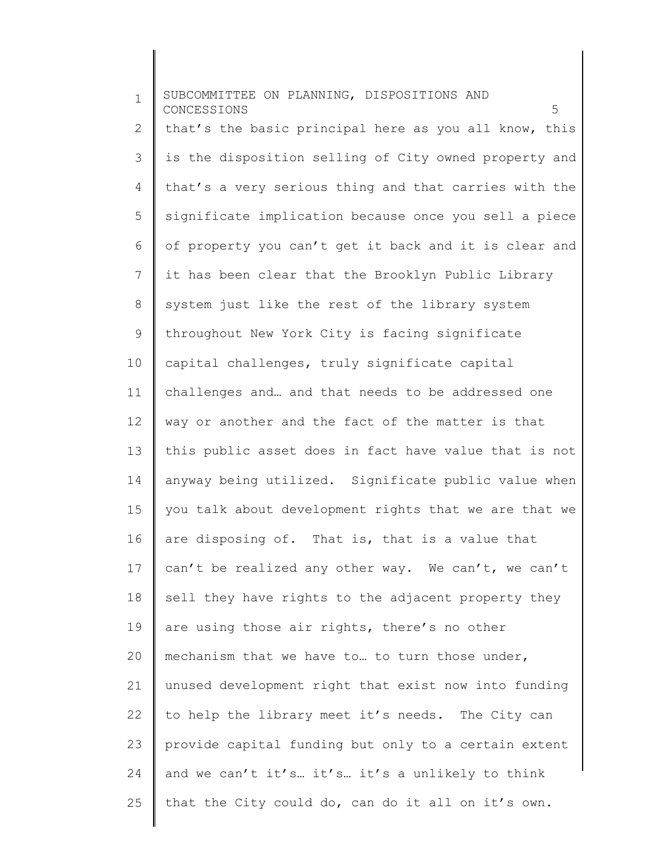1 2 3 4 5 6 7 8 9 10 11 12 13 14 15 16 17 18 19 20 21 22 23 24 25 SUBCOMMITTEE ON PLANNING, DISPOSITIONS AND CONCESSIONS 5 that's the basic principal here as you all know, this is the disposition selling of City owned property and that's a very serious thing and that carries with the significate implication because once you sell a piece of property you can't get it back and it is clear and it has been clear that the Brooklyn Public Library system just like the rest of the library system throughout New York City is facing significate capital challenges, truly significate capital challenges and… and that needs to be addressed one way or another and the fact of the matter is that this public asset does in fact have value that is not anyway being utilized. Significate public value when you talk about development rights that we are that we are disposing of. That is, that is a value that can't be realized any other way. We can't, we can't sell they have rights to the adjacent property they are using those air rights, there's no other mechanism that we have to… to turn those under, unused development right that exist now into funding to help the library meet it's needs. The City can provide capital funding but only to a certain extent and we can't it's… it's… it's a unlikely to think that the City could do, can do it all on it's own.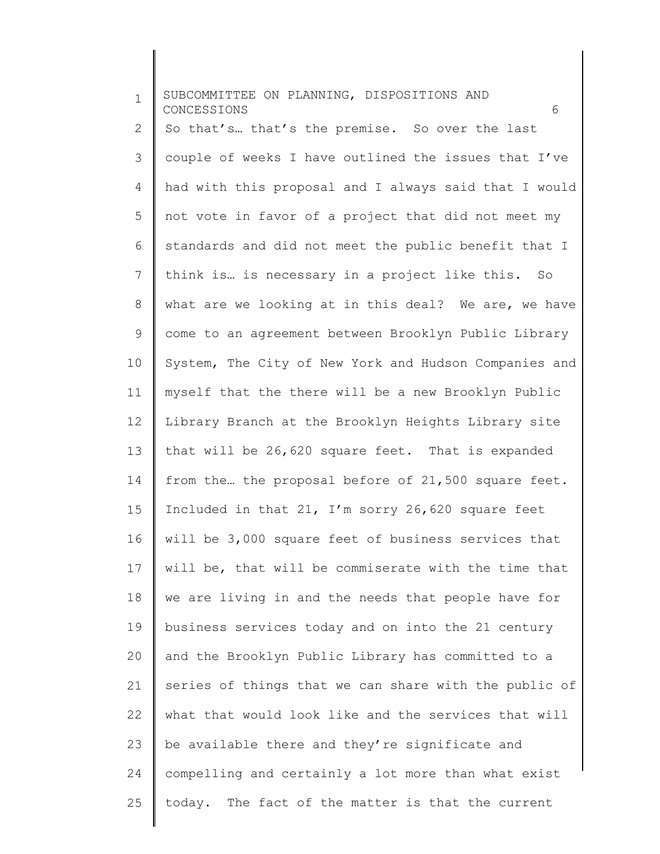| $\mathbf 1$  | SUBCOMMITTEE ON PLANNING, DISPOSITIONS AND<br>CONCESSIONS<br>6 |
|--------------|----------------------------------------------------------------|
| $\mathbf{2}$ | So that's that's the premise. So over the last                 |
| 3            | couple of weeks I have outlined the issues that I've           |
| 4            | had with this proposal and I always said that I would          |
| 5            | not vote in favor of a project that did not meet my            |
| 6            | standards and did not meet the public benefit that I           |
| 7            | think is is necessary in a project like this. So               |
| 8            | what are we looking at in this deal? We are, we have           |
| 9            | come to an agreement between Brooklyn Public Library           |
| 10           | System, The City of New York and Hudson Companies and          |
| 11           | myself that the there will be a new Brooklyn Public            |
| 12           | Library Branch at the Brooklyn Heights Library site            |
| 13           | that will be 26,620 square feet. That is expanded              |
| 14           | from the the proposal before of 21,500 square feet.            |
| 15           | Included in that 21, I'm sorry 26,620 square feet              |
| 16           | will be 3,000 square feet of business services that            |
| 17           | will be, that will be commiserate with the time that           |
| 18           | we are living in and the needs that people have for            |
| 19           | business services today and on into the 21 century             |
| 20           | and the Brooklyn Public Library has committed to a             |
| 21           | series of things that we can share with the public of          |
| 22           | what that would look like and the services that will           |
| 23           | be available there and they're significate and                 |
| 24           | compelling and certainly a lot more than what exist            |
| 25           | today. The fact of the matter is that the current              |

 $\begin{array}{c} \hline \end{array}$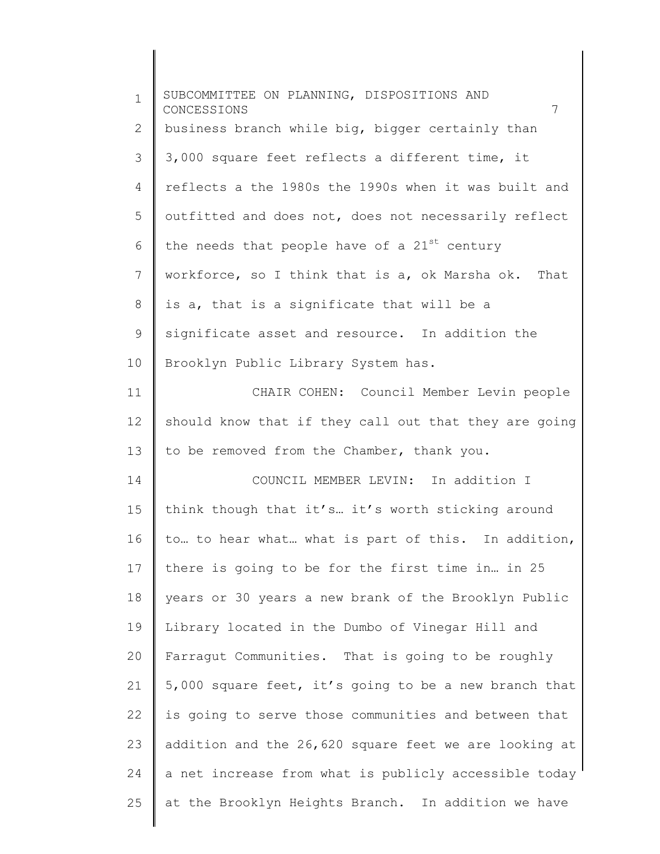| $\mathbf 1$    | SUBCOMMITTEE ON PLANNING, DISPOSITIONS AND<br>7<br>CONCESSIONS |
|----------------|----------------------------------------------------------------|
| 2              | business branch while big, bigger certainly than               |
| 3              | 3,000 square feet reflects a different time, it                |
| $\overline{4}$ | reflects a the 1980s the 1990s when it was built and           |
| 5              | outfitted and does not, does not necessarily reflect           |
| 6              | the needs that people have of a 21st century                   |
| 7              | workforce, so I think that is a, ok Marsha ok. That            |
| 8              | is a, that is a significate that will be a                     |
| 9              | significate asset and resource. In addition the                |
| 10             | Brooklyn Public Library System has.                            |
| 11             | CHAIR COHEN: Council Member Levin people                       |
| 12             | should know that if they call out that they are going          |
| 13             | to be removed from the Chamber, thank you.                     |
| 14             | COUNCIL MEMBER LEVIN: In addition I                            |
| 15             | think though that it's it's worth sticking around              |
| 16             | to to hear what what is part of this. In addition,             |
| 17             | there is going to be for the first time in in 25               |
| 18             | years or 30 years a new brank of the Brooklyn Public           |
| 19             | Library located in the Dumbo of Vinegar Hill and               |
| 20             | Farragut Communities. That is going to be roughly              |
| 21             | 5,000 square feet, it's going to be a new branch that          |
| 22             | is going to serve those communities and between that           |
| 23             | addition and the 26,620 square feet we are looking at          |
| 24             | a net increase from what is publicly accessible today          |
| 25             | at the Brooklyn Heights Branch. In addition we have            |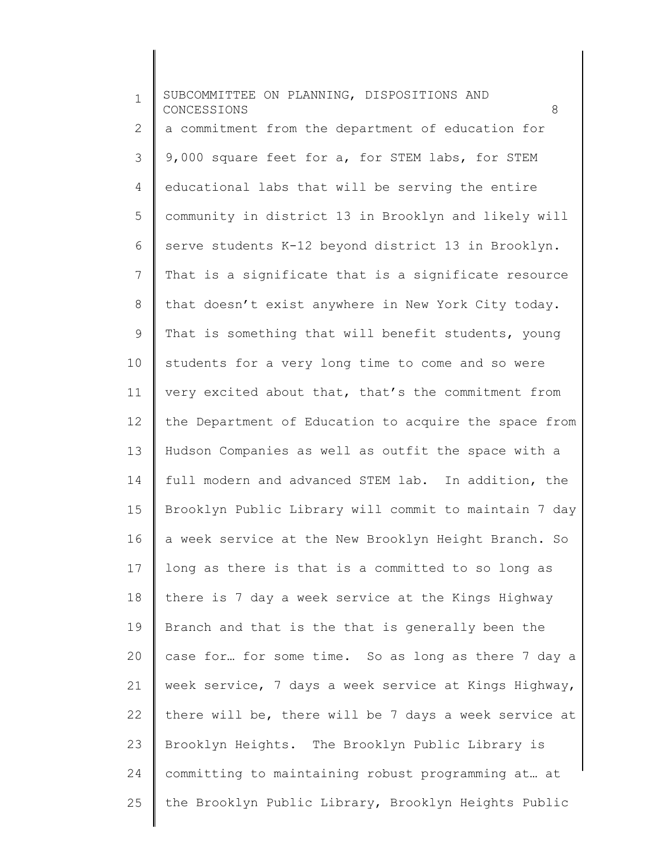| $\mathbf{1}$ | SUBCOMMITTEE ON PLANNING, DISPOSITIONS AND<br>CONCESSIONS<br>8 |
|--------------|----------------------------------------------------------------|
| 2            | a commitment from the department of education for              |
| 3            | 9,000 square feet for a, for STEM labs, for STEM               |
| 4            | educational labs that will be serving the entire               |
| 5            | community in district 13 in Brooklyn and likely will           |
| 6            | serve students K-12 beyond district 13 in Brooklyn.            |
| 7            | That is a significate that is a significate resource           |
| 8            | that doesn't exist anywhere in New York City today.            |
| 9            | That is something that will benefit students, young            |
| 10           | students for a very long time to come and so were              |
| 11           | very excited about that, that's the commitment from            |
| 12           | the Department of Education to acquire the space from          |
| 13           | Hudson Companies as well as outfit the space with a            |
| 14           | full modern and advanced STEM lab. In addition, the            |
| 15           | Brooklyn Public Library will commit to maintain 7 day          |
| 16           | a week service at the New Brooklyn Height Branch. So           |
| 17           | long as there is that is a committed to so long as             |
| 18           | there is 7 day a week service at the Kings Highway             |
| 19           | Branch and that is the that is generally been the              |
| 20           | case for for some time. So as long as there 7 day a            |
| 21           | week service, 7 days a week service at Kings Highway,          |
| 22           | there will be, there will be 7 days a week service at          |
| 23           | Brooklyn Heights. The Brooklyn Public Library is               |
| 24           | committing to maintaining robust programming at at             |
| 25           | the Brooklyn Public Library, Brooklyn Heights Public           |
|              |                                                                |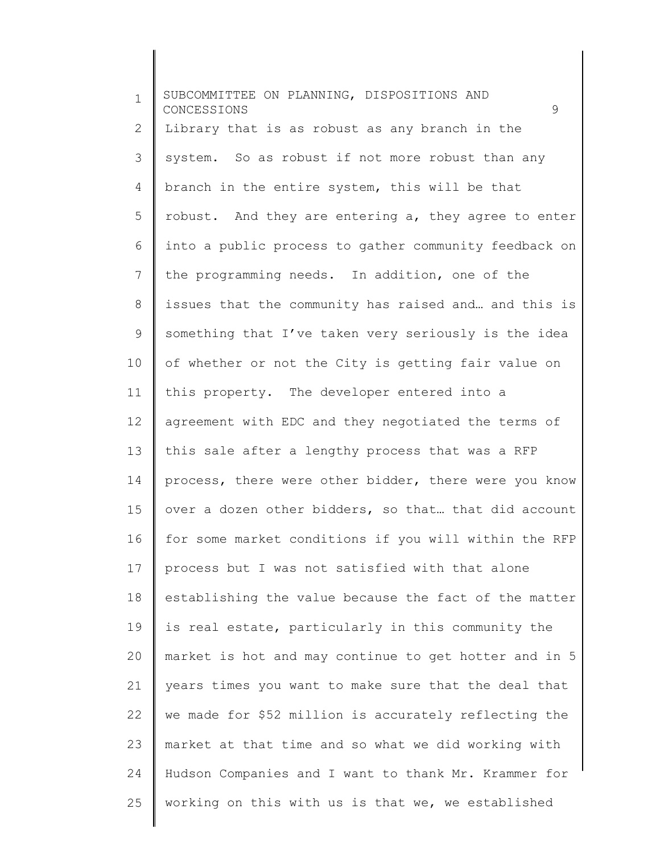1 2 3 4 5 6 7 8 9 10 11 12 13 14 15 16 17 18 19 20 21 22 23 24 25 SUBCOMMITTEE ON PLANNING, DISPOSITIONS AND CONCESSIONS 9 Library that is as robust as any branch in the system. So as robust if not more robust than any branch in the entire system, this will be that robust. And they are entering a, they agree to enter into a public process to gather community feedback on the programming needs. In addition, one of the issues that the community has raised and… and this is something that I've taken very seriously is the idea of whether or not the City is getting fair value on this property. The developer entered into a agreement with EDC and they negotiated the terms of this sale after a lengthy process that was a RFP process, there were other bidder, there were you know over a dozen other bidders, so that… that did account for some market conditions if you will within the RFP process but I was not satisfied with that alone establishing the value because the fact of the matter is real estate, particularly in this community the market is hot and may continue to get hotter and in 5 years times you want to make sure that the deal that we made for \$52 million is accurately reflecting the market at that time and so what we did working with Hudson Companies and I want to thank Mr. Krammer for working on this with us is that we, we established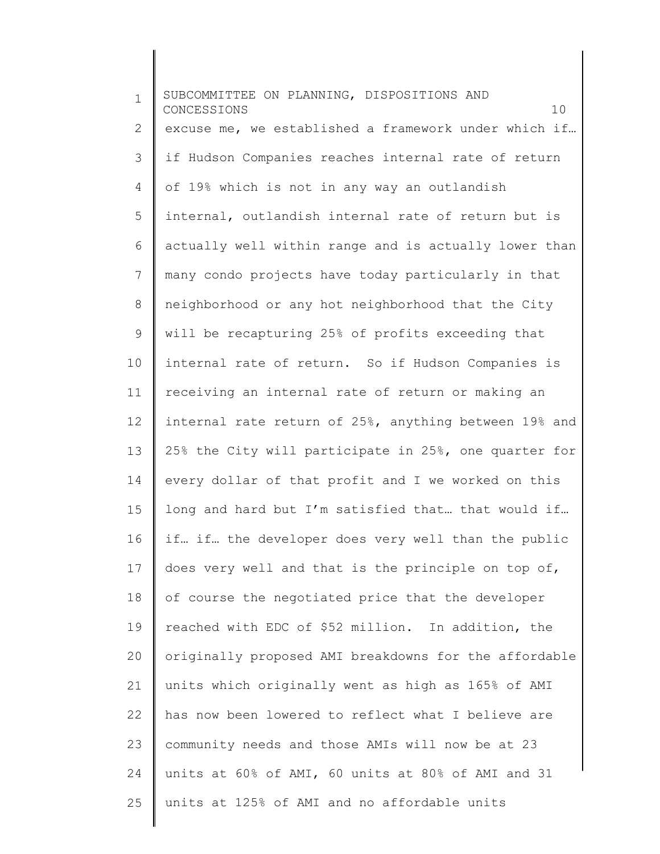1 2 3 4 5 6 7 8 9 10 11 12 13 14 15 16 17 18 19 20 21 22 23 24 25 SUBCOMMITTEE ON PLANNING, DISPOSITIONS AND CONCESSIONS 10 excuse me, we established a framework under which if… if Hudson Companies reaches internal rate of return of 19% which is not in any way an outlandish internal, outlandish internal rate of return but is actually well within range and is actually lower than many condo projects have today particularly in that neighborhood or any hot neighborhood that the City will be recapturing 25% of profits exceeding that internal rate of return. So if Hudson Companies is receiving an internal rate of return or making an internal rate return of 25%, anything between 19% and 25% the City will participate in 25%, one quarter for every dollar of that profit and I we worked on this long and hard but I'm satisfied that… that would if… if… if… the developer does very well than the public does very well and that is the principle on top of, of course the negotiated price that the developer reached with EDC of \$52 million. In addition, the originally proposed AMI breakdowns for the affordable units which originally went as high as 165% of AMI has now been lowered to reflect what I believe are community needs and those AMIs will now be at 23 units at 60% of AMI, 60 units at 80% of AMI and 31 units at 125% of AMI and no affordable units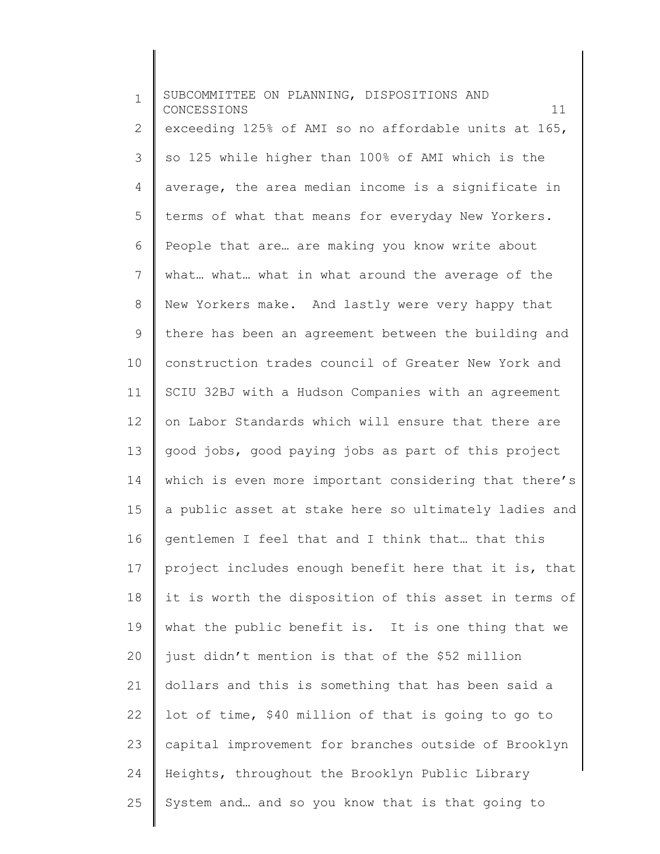| $\mathbf 1$    | SUBCOMMITTEE ON PLANNING, DISPOSITIONS AND<br>11<br>CONCESSIONS |
|----------------|-----------------------------------------------------------------|
| $\mathbf{2}$   | exceeding 125% of AMI so no affordable units at 165,            |
| 3              | so 125 while higher than 100% of AMI which is the               |
| 4              | average, the area median income is a significate in             |
| 5              | terms of what that means for everyday New Yorkers.              |
| 6              | People that are are making you know write about                 |
| $\overline{7}$ | what what what in what around the average of the                |
| $\,8\,$        | New Yorkers make. And lastly were very happy that               |
| $\mathsf 9$    | there has been an agreement between the building and            |
| 10             | construction trades council of Greater New York and             |
| 11             | SCIU 32BJ with a Hudson Companies with an agreement             |
| 12             | on Labor Standards which will ensure that there are             |
| 13             | good jobs, good paying jobs as part of this project             |
| 14             | which is even more important considering that there's           |
| 15             | a public asset at stake here so ultimately ladies and           |
| 16             | gentlemen I feel that and I think that that this                |
| 17             | project includes enough benefit here that it is, that           |
| 18             | it is worth the disposition of this asset in terms of           |
| 19             | what the public benefit is. It is one thing that we             |
| 20             | just didn't mention is that of the \$52 million                 |
| 21             | dollars and this is something that has been said a              |
| 22             | lot of time, \$40 million of that is going to go to             |
| 23             | capital improvement for branches outside of Brooklyn            |
| 24             | Heights, throughout the Brooklyn Public Library                 |
| 25             | System and and so you know that is that going to                |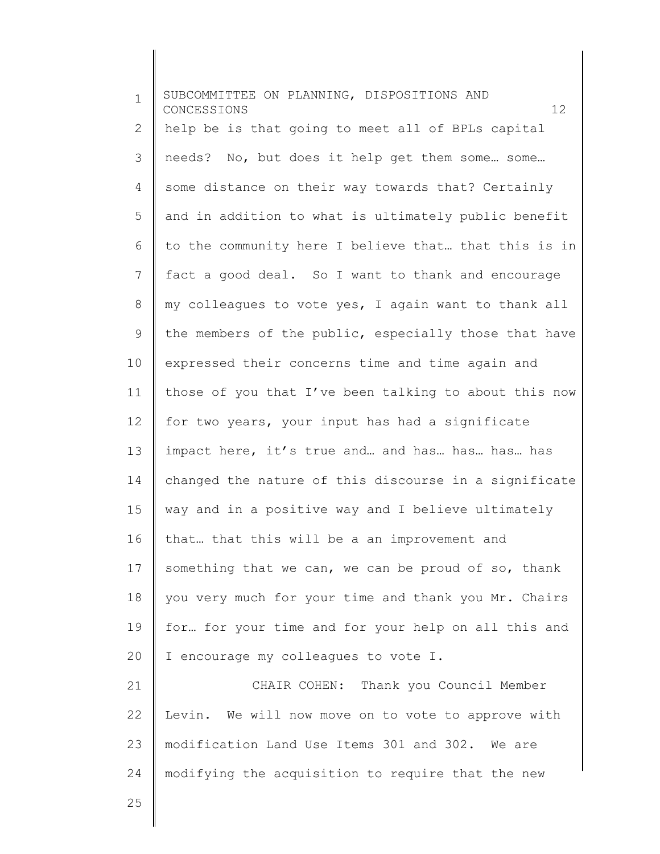| $\mathbf{1}$ | SUBCOMMITTEE ON PLANNING, DISPOSITIONS AND<br>12<br>CONCESSIONS |
|--------------|-----------------------------------------------------------------|
| 2            | help be is that going to meet all of BPLs capital               |
| 3            | needs? No, but does it help get them some some                  |
| 4            | some distance on their way towards that? Certainly              |
| 5            | and in addition to what is ultimately public benefit            |
| 6            | to the community here I believe that that this is in            |
| 7            | fact a good deal. So I want to thank and encourage              |
| 8            | my colleagues to vote yes, I again want to thank all            |
| 9            | the members of the public, especially those that have           |
| 10           | expressed their concerns time and time again and                |
| 11           | those of you that I've been talking to about this now           |
| 12           | for two years, your input has had a significate                 |
| 13           | impact here, it's true and and has has has has                  |
| 14           | changed the nature of this discourse in a significate           |
| 15           | way and in a positive way and I believe ultimately              |
| 16           | that that this will be a an improvement and                     |
| 17           | something that we can, we can be proud of so, thank             |
| 18           | you very much for your time and thank you Mr. Chairs            |
| 19           | for for your time and for your help on all this and             |
| 20           | I encourage my colleagues to vote I.                            |
| 21           | CHAIR COHEN: Thank you Council Member                           |
| 22           | Levin. We will now move on to vote to approve with              |
| 23           | modification Land Use Items 301 and 302. We are                 |
| 24           | modifying the acquisition to require that the new               |
| 25           |                                                                 |

 $\begin{array}{c} \hline \end{array}$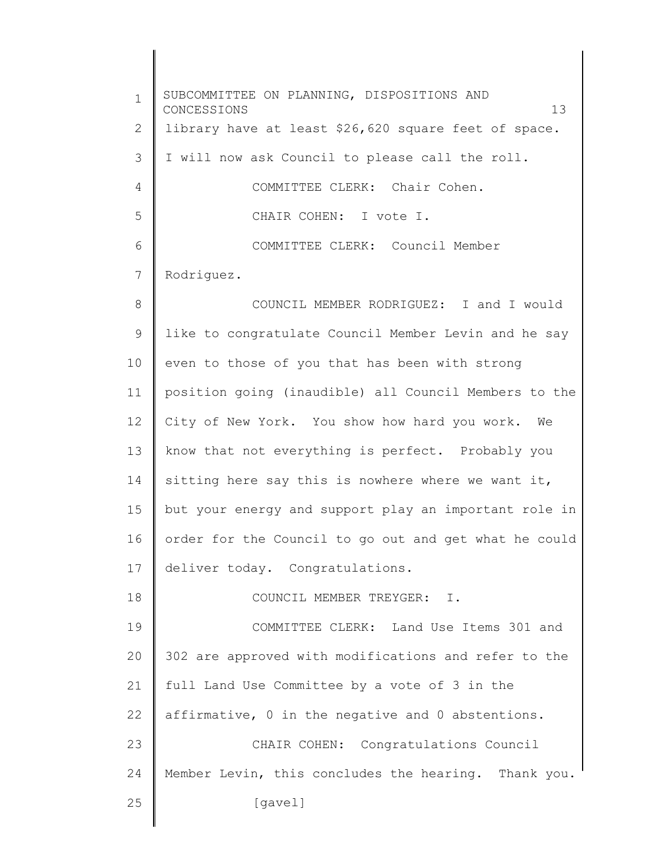1 2 3 4 5 6 7 8 9 10 11 12 13 14 15 16 17 18 19 20 21 22 23 24 25 SUBCOMMITTEE ON PLANNING, DISPOSITIONS AND CONCESSIONS 13 library have at least \$26,620 square feet of space. I will now ask Council to please call the roll. COMMITTEE CLERK: Chair Cohen. CHAIR COHEN: I vote I. COMMITTEE CLERK: Council Member Rodriguez. COUNCIL MEMBER RODRIGUEZ: I and I would like to congratulate Council Member Levin and he say even to those of you that has been with strong position going (inaudible) all Council Members to the City of New York. You show how hard you work. We know that not everything is perfect. Probably you sitting here say this is nowhere where we want it, but your energy and support play an important role in order for the Council to go out and get what he could deliver today. Congratulations. COUNCIL MEMBER TREYGER: I. COMMITTEE CLERK: Land Use Items 301 and 302 are approved with modifications and refer to the full Land Use Committee by a vote of 3 in the affirmative, 0 in the negative and 0 abstentions. CHAIR COHEN: Congratulations Council Member Levin, this concludes the hearing. Thank you. [gavel]